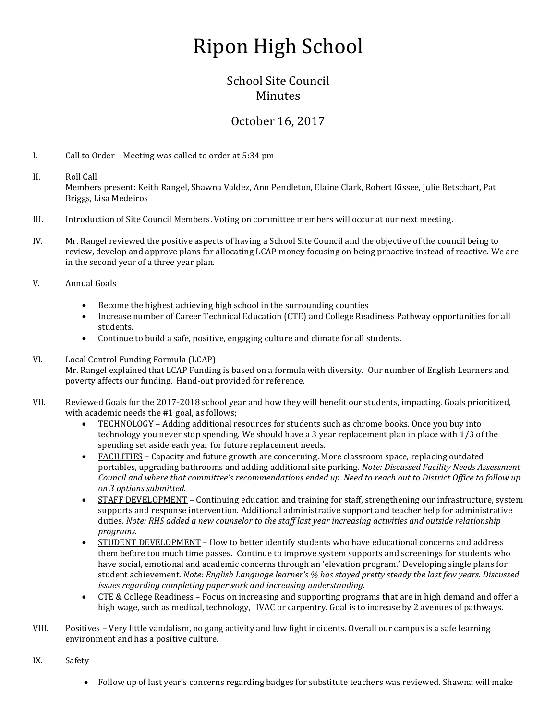## Ripon High School

## School Site Council **Minutes**

## October 16, 2017

I. Call to Order – Meeting was called to order at 5:34 pm

- II. Roll Call Members present: Keith Rangel, Shawna Valdez, Ann Pendleton, Elaine Clark, Robert Kissee, Julie Betschart, Pat Briggs, Lisa Medeiros
- III. Introduction of Site Council Members. Voting on committee members will occur at our next meeting.
- IV. Mr. Rangel reviewed the positive aspects of having a School Site Council and the objective of the council being to review, develop and approve plans for allocating LCAP money focusing on being proactive instead of reactive. We are in the second year of a three year plan.
- V. Annual Goals
	- Become the highest achieving high school in the surrounding counties
	- Increase number of Career Technical Education (CTE) and College Readiness Pathway opportunities for all students.
	- Continue to build a safe, positive, engaging culture and climate for all students.

## VI. Local Control Funding Formula (LCAP)

Mr. Rangel explained that LCAP Funding is based on a formula with diversity. Our number of English Learners and poverty affects our funding. Hand-out provided for reference.

- VII. Reviewed Goals for the 2017-2018 school year and how they will benefit our students, impacting. Goals prioritized, with academic needs the #1 goal, as follows;
	- TECHNOLOGY Adding additional resources for students such as chrome books. Once you buy into technology you never stop spending. We should have a 3 year replacement plan in place with 1/3 of the spending set aside each year for future replacement needs.
	- FACILITIES Capacity and future growth are concerning. More classroom space, replacing outdated portables, upgrading bathrooms and adding additional site parking. *Note: Discussed Facility Needs Assessment Council and where that committee's recommendations ended up. Need to reach out to District Office to follow up on 3 options submitted.*
	- STAFF DEVELOPMENT Continuing education and training for staff, strengthening our infrastructure, system supports and response intervention. Additional administrative support and teacher help for administrative duties. *Note: RHS added a new counselor to the staff last year increasing activities and outside relationship programs.*
	- STUDENT DEVELOPMENT How to better identify students who have educational concerns and address them before too much time passes. Continue to improve system supports and screenings for students who have social, emotional and academic concerns through an 'elevation program.' Developing single plans for student achievement. *Note: English Language learner's % has stayed pretty steady the last few years. Discussed issues regarding completing paperwork and increasing understanding.*
	- CTE & College Readiness Focus on increasing and supporting programs that are in high demand and offer a high wage, such as medical, technology, HVAC or carpentry. Goal is to increase by 2 avenues of pathways.
- VIII. Positives Very little vandalism, no gang activity and low fight incidents. Overall our campus is a safe learning environment and has a positive culture.
- IX. Safety
	- Follow up of last year's concerns regarding badges for substitute teachers was reviewed. Shawna will make